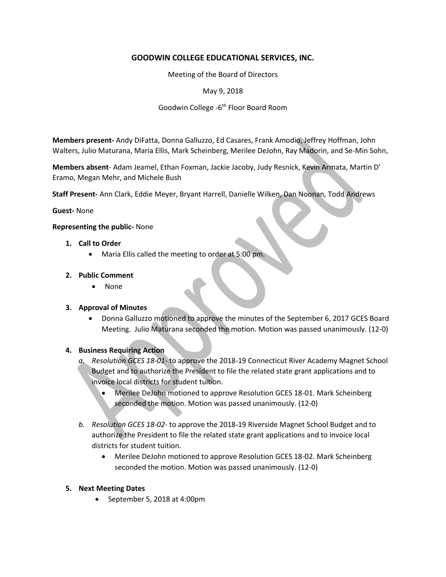# **GOODWIN COLLEGE EDUCATIONAL SERVICES, INC.**

Meeting of the Board of Directors

May 9, 2018

Goodwin College -6<sup>th</sup> Floor Board Room

**Members present-** Andy DiFatta, Donna Galluzzo, Ed Casares, Frank Amodio, Jeffrey Hoffman, John Walters, Julio Maturana, Maria Ellis, Mark Scheinberg, Merilee DeJohn, Ray Madorin, and Se-Min Sohn,

**Members absent**- Adam Jeamel, Ethan Foxman, Jackie Jacoby, Judy Resnick, Kevin Armata, Martin D' Eramo, Megan Mehr, and Michele Bush

**Staff Present-** Ann Clark, Eddie Meyer, Bryant Harrell, Danielle Wilken, Dan Noonan, Todd Andrews

## **Guest-** None

## **Representing the public-** None

- **1. Call to Order**
	- Maria Ellis called the meeting to order at 5:00 pm.

## **2. Public Comment**

• None

## **3. Approval of Minutes**

 Donna Galluzzo motioned to approve the minutes of the September 6, 2017 GCES Board Meeting. Julio Maturana seconded the motion. Motion was passed unanimously. (12-0)

## **4. Business Requiring Action**

- *a. Resolution GCES 18-01* to approve the 2018-19 Connecticut River Academy Magnet School Budget and to authorize the President to file the related state grant applications and to invoice local districts for student tuition.
	- Merilee DeJohn motioned to approve Resolution GCES 18-01. Mark Scheinberg seconded the motion. Motion was passed unanimously. (12-0)
- *b. Resolution GCES 18-02* to approve the 2018-19 Riverside Magnet School Budget and to authorize the President to file the related state grant applications and to invoice local districts for student tuition.
	- Merilee DeJohn motioned to approve Resolution GCES 18-02. Mark Scheinberg seconded the motion. Motion was passed unanimously. (12-0)

## **5. Next Meeting Dates**

• September 5, 2018 at 4:00pm